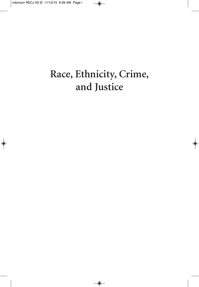## **Race, Ethnicity, Crime, and Justice**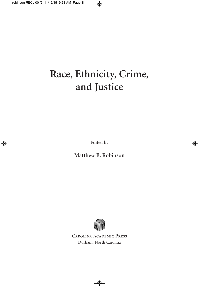# **Race, Ethnicity, Crime, and Justice**

Edited by

**Matthew B. Robinson**



Carolina Academic Press Durham, North Carolina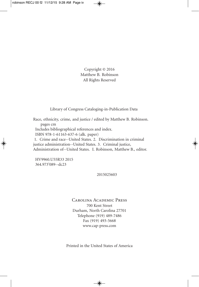Copyright © 2016 Matthew B. Robinson All Rights Reserved

Library of Congress Cataloging-in-Publication Data

Race, ethnicity, crime, and justice / edited by Matthew B. Robinson. pages cm Includes bibliographical references and index. ISBN 978-1-61163-637-6 (alk. paper)

1. Crime and race--United States. 2. Discrimination in criminal justice administration--United States. 3. Criminal justice, Administration of--United States. I. Robinson, Matthew B., editor.

HV9960.U55R33 2015 364.973'089--dc23

2015025603

Carolina Academic Press 700 Kent Street Durham, North Carolina 27701 Telephone (919) 489-7486 Fax (919) 493-5668 www.cap-press.com

Printed in the United States of America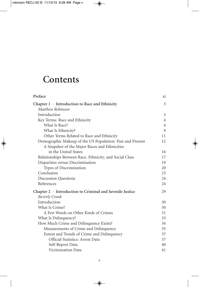## **Contents**

| Preface                                                         | X1             |
|-----------------------------------------------------------------|----------------|
| Chapter $1 \cdot$ Introduction to Race and Ethnicity            | 3              |
| Matthew Robinson                                                |                |
| Introduction                                                    | 3              |
| Key Terms: Race and Ethnicity                                   | $\overline{4}$ |
| What Is Race?                                                   | $\overline{4}$ |
| What Is Ethnicity?                                              | 9              |
| Other Terms Related to Race and Ethnicity                       | 11             |
| Demographic Makeup of the US Population: Past and Present       | 12             |
| A Snapshot of the Major Races and Ethnicities                   |                |
| in the United States                                            | 16             |
| Relationships Between Race, Ethnicity, and Social Class         | 17             |
| Disparities versus Discrimination                               | 19             |
| Types of Discrimination                                         | 20             |
| Conclusion                                                      | 23             |
| <b>Discussion Questions</b>                                     | 24             |
| References                                                      | 24             |
| Chapter $2 \cdot$ Introduction to Criminal and Juvenile Justice | 29             |
| <b>Beverly Crank</b>                                            |                |
| Introduction                                                    | 30             |
| What Is Crime?                                                  | 30             |
| A Few Words on Other Kinds of Crimes                            | 31             |
| What Is Delinquency?                                            | 33             |
| How Much Crime and Delinquency Exists?                          | 34             |
| Measurements of Crime and Delinquency                           | 35             |
| Extent and Trends of Crime and Delinquency                      | 37             |
| Official Statistics: Arrest Data                                | 37             |
| Self-Report Data                                                | 40             |
| Victimization Data                                              | 41             |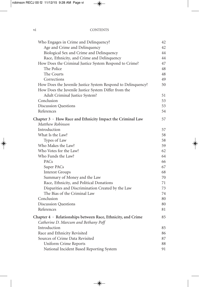| 42 |
|----|
| 42 |
| 44 |
| 44 |
| 47 |
| 48 |
| 48 |
| 49 |
| 50 |
|    |
| 51 |
| 53 |
| 53 |
| 54 |
| 57 |
|    |
| 57 |
| 58 |
| 58 |
| 59 |
| 62 |
| 64 |
| 66 |
| 67 |
| 68 |
| 70 |
| 71 |
| 73 |
| 74 |
| 80 |
| 80 |
| 81 |
| 85 |
|    |
| 85 |
| 86 |
| 87 |
| 88 |
| 91 |
|    |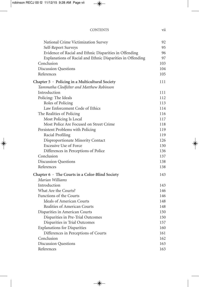| <b>CONTENTS</b> |  |
|-----------------|--|
|                 |  |

| National Crime Victimization Survey                        | 92  |
|------------------------------------------------------------|-----|
| Self-Report Surveys                                        | 95  |
| Evidence of Racial and Ethnic Disparities in Offending     | 96  |
| Explanations of Racial and Ethnic Disparities in Offending | 97  |
| Conclusion                                                 | 103 |
| <b>Discussion Questions</b>                                | 104 |
| References                                                 | 105 |
| Chapter $5 \cdot$ Policing in a Multicultural Society      | 111 |
| Tammatha Clodfelter and Matthew Robinson                   |     |
| Introduction                                               | 111 |
| Policing: The Ideals                                       | 112 |
| Roles of Policing                                          | 113 |
| Law Enforcement Code of Ethics                             | 114 |
| The Realities of Policing                                  | 116 |
| Most Policing Is Local                                     | 117 |
| Most Police Are Focused on Street Crime                    | 118 |
| Persistent Problems with Policing                          | 119 |
| Racial Profiling                                           | 119 |
| Disproportionate Minority Contact                          | 126 |
| <b>Excessive Use of Force</b>                              | 130 |
| Differences in Perceptions of Police                       | 136 |
| Conclusion                                                 | 137 |
| <b>Discussion Questions</b>                                | 138 |
| References                                                 | 138 |
| Chapter 6 · The Courts in a Color-Blind Society            | 143 |
| Marian Williams                                            |     |
| Introduction                                               | 143 |
| What Are the Courts?                                       | 146 |
| <b>Functions of the Courts</b>                             | 146 |
| Ideals of American Courts                                  | 148 |
| Realities of American Courts                               | 148 |
| Disparities in American Courts                             | 150 |
| Disparities in Pre-Trial Outcomes                          | 150 |
| Disparities in Trial Outcomes                              | 157 |
| <b>Explanations for Disparities</b>                        | 160 |
| Differences in Perceptions of Courts                       | 161 |
| Conclusion                                                 | 162 |
| <b>Discussion Questions</b>                                | 163 |
| References                                                 | 163 |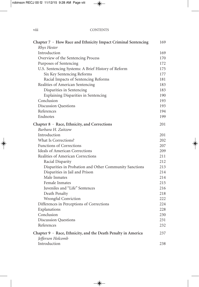#### viii CONTENTS

| Chapter 7 · How Race and Ethnicity Impact Criminal Sentencing | 169 |
|---------------------------------------------------------------|-----|
| Rhys Hester                                                   |     |
| Introduction                                                  | 169 |
| Overview of the Sentencing Process                            | 170 |
| Purposes of Sentencing                                        | 172 |
| U.S. Sentencing Systems: A Brief History of Reform            | 175 |
| Six Key Sentencing Reforms                                    | 177 |
| Racial Impacts of Sentencing Reforms                          | 181 |
| Realities of American Sentencing                              | 183 |
| Disparities in Sentencing                                     | 183 |
| Explaining Disparities in Sentencing                          | 190 |
| Conclusion                                                    | 193 |
| <b>Discussion Questions</b>                                   | 193 |
| References                                                    | 194 |
| Endnotes                                                      | 199 |
| Chapter 8 · Race, Ethnicity, and Corrections                  | 201 |
| Barbara H. Zaitzow                                            |     |
| Introduction                                                  | 201 |
| What Is Corrections?                                          | 202 |
| <b>Functions of Corrections</b>                               | 207 |
| <b>Ideals of American Corrections</b>                         | 209 |
| Realities of American Corrections                             | 211 |
| Racial Disparity                                              | 212 |
| Disparities in Probation and Other Community Sanctions        | 213 |
| Disparities in Jail and Prison                                | 214 |
| Male Inmates                                                  | 214 |
| <b>Female Inmates</b>                                         | 215 |
| Juveniles and "Life" Sentences                                | 216 |
| Death Penalty                                                 | 218 |
| Wrongful Conviction                                           | 222 |
| Differences in Perceptions of Corrections                     | 224 |
| Explanations                                                  | 228 |
| Conclusion                                                    | 230 |
| <b>Discussion Questions</b>                                   | 231 |
| References                                                    | 232 |
| Chapter 9 · Race, Ethnicity, and the Death Penalty in America | 237 |
| Jefferson Holcomb                                             |     |
| Introduction                                                  | 238 |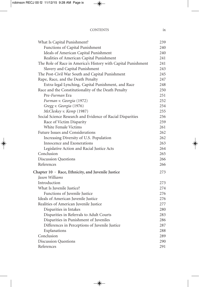#### CONTENTS ix

| What Is Capital Punishment?                                   | 239 |
|---------------------------------------------------------------|-----|
| Functions of Capital Punishment                               | 240 |
| Ideals of American Capital Punishment                         | 240 |
| Realities of American Capital Punishment                      | 241 |
| The Role of Race in America's History with Capital Punishment | 241 |
| Slavery and Capital Punishment                                | 243 |
| The Post-Civil War South and Capital Punishment               | 245 |
| Rape, Race, and the Death Penalty                             | 247 |
| Extra-legal Lynching, Capital Punishment, and Race            | 248 |
| Race and the Constitutionality of the Death Penalty           | 250 |
| Pre- <i>Furman</i> Era                                        | 251 |
| Furman v. Georgia (1972)                                      | 252 |
| Gregg v. Georgia (1976)                                       | 254 |
| McCleskey v. Kemp (1987)                                      | 255 |
| Social Science Research and Evidence of Racial Disparities    | 256 |
| Race of Victim Disparity                                      | 259 |
| White Female Victims                                          | 261 |
| Future Issues and Considerations                              | 262 |
| Increasing Diversity of U.S. Population                       | 262 |
| Innocence and Exonerations                                    | 263 |
| Legislative Action and Racial Justice Acts                    | 264 |
| Conclusion                                                    | 265 |
| <b>Discussion Questions</b>                                   | 266 |
| References                                                    | 266 |
| Chapter 10 · Race, Ethnicity, and Juvenile Justice            | 273 |
| Jason Williams                                                |     |
| Introduction                                                  | 273 |
| What Is Juvenile Justice?                                     | 274 |
| Functions of Juvenile Justice                                 | 276 |
| Ideals of American Juvenile Justice                           | 276 |
| Realities of American Juvenile Justice                        | 277 |
| Disparities in Intakes                                        | 280 |
| Disparities in Referrals to Adult Courts                      | 283 |
| Disparities in Punishment of Juveniles                        | 286 |
| Differences in Perceptions of Juvenile Justice                | 287 |
| Explanations                                                  | 288 |
| Conclusion                                                    | 289 |
| <b>Discussion Questions</b>                                   | 290 |
| References                                                    | 291 |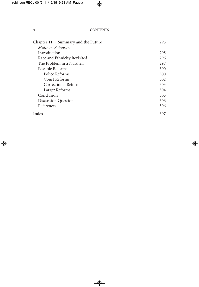#### x CONTENTS

| Chapter $11 \cdot$ Summary and the Future | 295 |
|-------------------------------------------|-----|
| Matthew Robinson                          |     |
| Introduction                              | 295 |
| Race and Ethnicity Revisited              | 296 |
| The Problem in a Nutshell                 | 297 |
| Possible Reforms                          | 300 |
| Police Reforms                            | 300 |
| Court Reforms                             | 302 |
| Correctional Reforms                      | 303 |
| Larger Reforms                            | 304 |
| Conclusion                                | 305 |
| <b>Discussion Questions</b>               | 306 |
| References                                | 306 |
| Index                                     | 307 |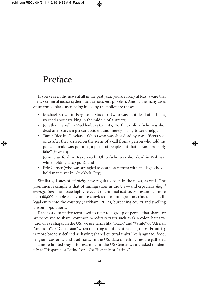### **Preface**

If you've seen the news at all in the past year, you are likely at least aware that the US criminal justice system has a serious *race* problem. Among the many cases of unarmed black men being killed by the police are these:

- Michael Brown in Ferguson, Missouri (who was shot dead after being warned about walking in the middle of a street);
- Jonathan Ferrell in Mecklenburg County, North Carolina (who was shot dead after surviving a car accident and merely trying to seek help);
- Tamir Rice in Cleveland, Ohio (who was shot dead by two officers seconds after they arrived on the scene of a call from a person who told the police a male was pointing a pistol at people but that it was "probably fake" [it was]);
- John Crawford in Beavercreek, Ohio (who was shot dead in Walmart while holding a toy gun); and
- Eric Garner (who was strangled to death on camera with an illegal chokehold maneuver in New York City).

Similarly, issues of *ethnicity* have regularly been in the news, as well. One prominent example is that of immigration in the US—and especially *illegal immigration*—an issue highly relevant to criminal justice. For example, more than 60,000 people each year are convicted for immigration crimes such as illegal entry into the country (Kirkham, 2013), burdening courts and swelling prison populations.

**Race** is a descriptive term used to refer to a group of people that share, or are perceived to share, common hereditary traits such as skin color, hair texture, or eye shape. In the US, we use terms like "Black" and "White" or "African American" or "Caucasian" when referring to different racial groups. **Ethnicity** is more broadly defined as having shared cultural traits like language, food, religion, customs, and traditions. In the US, data on ethnicities are gathered in a more limited way—for example, in the US Census we are asked to identify as "Hispanic or Latino" or "Not Hispanic or Latino."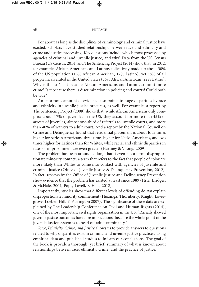#### xii PREFACE

For about as long as the disciplines of criminology and criminal justice have existed, scholars have studied relationships between race and ethnicity and crime and justice processing. Key questions include who is most processed by agencies of criminal and juvenile justice, and why? Data from the US Census Bureau (US Census, 2014) and The Sentencing Project (2014) show that, in 2012, for example, African Americans and Latinos collectively made up about 30% of the US population (13% African American, 17% Latino), yet 58% of all people incarcerated in the United States (36% African American, 22% Latino). Why is this so? Is it because African Americans and Latinos commit more crime? Is it because there is discrimination in policing and courts? Could both be true?

An enormous amount of evidence also points to huge disparities by race and ethnicity in juvenile justice practices, as well. For example, a report by The Sentencing Project (2008) shows that, while African Americans only comprise about 17% of juveniles in the US, they account for more than 45% of arrests of juveniles, almost one-third of referrals to juvenile courts, and more than 40% of waivers to adult court. And a report by the National Council on Crime and Delinquency found that residential placement is about four times higher for African Americans, three times higher for Native Americans, and two times higher for Latinos than for Whites, while racial and ethnic disparities in rates of imprisonment are even greater (Hartney & Vuong, 2009).

The problem has been around so long that it even has a term: **disproportionate minority contact**, a term that refers to the fact that people of color are more likely than Whites to come into contact with agencies of juvenile and criminal justice (Office of Juvenile Justice & Delinquency Prevention, 2012). In fact, reviews by the Office of Juvenile Justice and Delinquency Prevention show evidence that the problem has existed at least since 1989 (Hsia, Bridges, & McHale, 2004; Pope, Lovell, & Hsia, 2012).

Importantly, studies show that different levels of offending do *not* explain disproportionate minority confinement (Huizinga, Thornberry, Knight, Lovergrove, Loeber, Hill, & Farrington 2007). The significance of these data are explained by The Leadership Conference on Civil and Human Rights (2014), one of the most important civil rights organization in the US: "Racially skewed juvenile justice outcomes have dire implications, because the whole point of the juvenile justice system is to head off adult criminality."

*Race, Ethnicity, Crime, and Justice* allows us to provide answers to questions related to why disparities exist in criminal and juvenile justice practices, using empirical data and published studies to inform our conclusions. The goal of the book is provide a thorough, yet brief, summary of what is known about relationships between race, ethnicity, crime, and the practice of justice.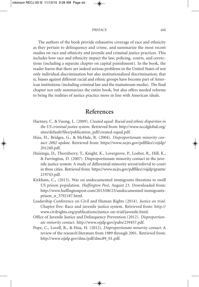#### PREFACE xiii

The authors of the book provide exhaustive coverage of race and ethnicity as they pertain to delinquency and crime, and summarize the most recent studies on race and ethnicity and juvenile and criminal justice practices. This includes how race and ethnicity impact the law, policing, courts, and corrections (including a separate chapter on capital punishment). In the book, the reader learns that there are indeed serious problems in the United States of not only individual discrimination but also institutionalized discrimination; that is, biases against different racial and ethnic groups have become part of American institutions (including criminal law and the mainstream media). The final chapter not only summarizes the entire book, but also offers needed reforms to bring the realities of justice practice more in line with American ideals.

### **References**

- Hartney, C. & Vuong, L. (2009). *Created equal: Racial and ethnic disparities in the US criminal justice system*. Retrieved from: http://www.nccdglobal.org/ sites/default/files/publication\_pdf/created-equal.pdf.
- Hsia, H., Bridges, G., & McHale, R. (2004). *Disproportionate minority contact: 2002 update.* Retrieved from: https://www.ncjrs.gov/pdffiles1/ojjdp/ 201240.pdf.
- Huizinga, D., Thornberry, T., Knight, K., Lovergrove, P., Loeber, R., Hill, K., & Farrington, D. (2007). Disproportionate minority contact in the juvenile justice system: A study of differential minority arrest/referral to court in three cities. Retrieved from: https://www.ncjrs.gov/pdffiles1/ojjdp/grants/ 219743.pdf.
- Kirkham, C., (2013). War on undocumented immigrants threatens to swell US prison population. *Huffington Post*, August 23. Downloaded from: http://www.huffingtonpost.com/2013/08/23/undocumented-immigrantsprison\_n\_3792187.html.
- Leadership Conference on Civil and Human Rights (2014). *Justice on trial*. Chapter five: Race and juvenile justice system. Retrieved from: http:// www.civilrights.org/publications/justice-on-trial/juvenile.html.
- Office of Juvenile Justice and Delinquency Prevention (2012). *Disproportionate minority contact*. http://www.ojjdp.gov/pubs/239457.pdf.
- Pope, C., Lovell, R., & Hsia, H. (2012). *Disproportionate minority contact*: A review of the research literature from 1989 through 2001. Retrieved from: http://www.ojjdp.gov/dmc/pdf/dmc89\_01.pdf.